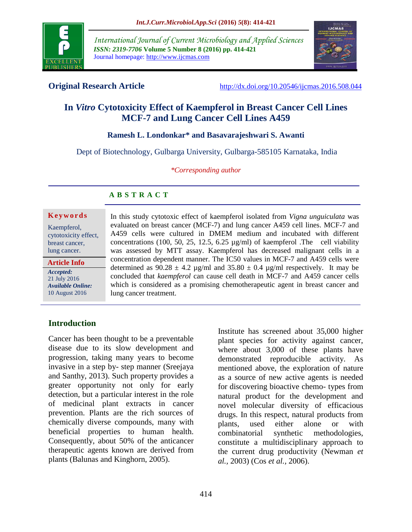

*International Journal of Current Microbiology and Applied Sciences ISSN: 2319-7706* **Volume 5 Number 8 (2016) pp. 414-421** Journal homepage: http://www.ijcmas.com



**Original Research Article** <http://dx.doi.org/10.20546/ijcmas.2016.508.044>

# **In** *Vitro* **Cytotoxicity Effect of Kaempferol in Breast Cancer Cell Lines MCF-7 and Lung Cancer Cell Lines A459**

#### **Ramesh L. Londonkar\* and Basavarajeshwari S. Awanti**

Dept of Biotechnology, Gulbarga University, Gulbarga-585105 Karnataka, India

*\*Corresponding author*

#### **A B S T R A C T**

#### **K e y w o r d s**

Kaempferol, cytotoxicity effect, breast cancer, lung cancer.

**Article Info**

*Accepted:*  21 July 2016 *Available Online:* 10 August 2016

In this study cytotoxic effect of kaempferol isolated from *Vigna unguiculata* was evaluated on breast cancer (MCF-7) and lung cancer A459 cell lines. MCF-7 and A459 cells were cultured in DMEM medium and incubated with different concentrations (100, 50, 25, 12.5, 6.25 µg/ml) of kaempferol .The cell viability was assessed by MTT assay. Kaempferol has decreased malignant cells in a concentration dependent manner. The IC50 values in MCF-7 and A459 cells were determined as  $90.28 \pm 4.2$  µg/ml and  $35.80 \pm 0.4$  µg/ml respectively. It may be concluded that *kaempferol* can cause cell death in MCF-7 and A459 cancer cells which is considered as a promising chemotherapeutic agent in breast cancer and lung cancer treatment.

## **Introduction**

Cancer has been thought to be a preventable disease due to its slow development and progression, taking many years to become invasive in a step by- step manner (Sreejaya and Santhy, 2013). Such property provides a greater opportunity not only for early detection, but a particular interest in the role of medicinal plant extracts in cancer prevention. Plants are the rich sources of chemically diverse compounds, many with beneficial properties to human health. Consequently, about 50% of the anticancer therapeutic agents known are derived from plants (Balunas and Kinghorn, 2005).

Institute has screened about 35,000 higher plant species for activity against cancer, where about 3,000 of these plants have demonstrated reproducible activity. As mentioned above, the exploration of nature as a source of new active agents is needed for discovering bioactive chemo- types from natural product for the development and novel molecular diversity of efficacious drugs. In this respect, natural products from plants, used either alone or with combinatorial synthetic methodologies, constitute a multidisciplinary approach to the current drug productivity (Newman *et al.,* 2003) (Cos *et al.,* 2006).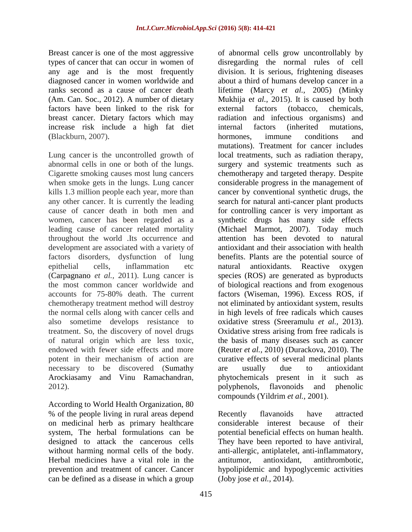Breast cancer is one of the most aggressive types of [cancer](https://en.wikipedia.org/wiki/Breast_cancer) that can occur in women of any age and is the most frequently diagnosed cancer in women worldwide and ranks second as a cause of cancer death (Am. Can. Soc., 2012). A number of dietary factors have been linked to the risk for breast cancer. Dietary factors which may increase risk include a high fat diet (Blackburn, 2007).

Lung cancer is the uncontrolled growth of abnormal cells in one or both of the lungs. Cigarette smoking causes most lung cancers when smoke gets in the lungs. Lung cancer kills 1.3 million people each year, more than any other cancer. It is currently the leading cause of cancer death in both men and women, cancer has been regarded as a leading cause of cancer related mortality throughout the world .Its occurrence and development are associated with a variety of factors disorders, dysfunction of lung epithelial cells, inflammation etc (Carpagnano *et al.,* 2011). Lung cancer is the most common cancer worldwide and accounts for 75-80% death. The current chemotherapy treatment method will destroy the normal cells along with cancer cells and also sometime develops resistance to treatment. So, the discovery of novel drugs of natural origin which are less toxic, endowed with fewer side effects and more potent in their mechanism of action are necessary to be discovered (Sumathy Arockiasamy and Vinu Ramachandran, 2012).

According to World Health Organization, 80 % of the people living in rural areas depend on medicinal herb as primary healthcare system, The herbal formulations can be designed to attack the cancerous cells without harming normal cells of the body. Herbal medicines have a vital role in the prevention and treatment of cancer. Cancer can be defined as a disease in which a group

of abnormal cells grow uncontrollably by disregarding the normal rules of cell division. It is serious, frightening diseases about a third of humans develop cancer in a lifetime (Marcy *et al.,* 2005) (Minky Mukhija e*t al.,* 2015). It is caused by both external factors (tobacco, chemicals, radiation and infectious organisms) and internal factors (inherited mutations, hormones, immune conditions and mutations). Treatment for cancer includes local treatments, such as radiation therapy, surgery and systemic treatments such as chemotherapy and targeted therapy. Despite considerable progress in the management of cancer by conventional synthetic drugs, the search for natural anti-cancer plant products for controlling cancer is very important as synthetic drugs has many side effects (Michael Marmot, 2007). Today much attention has been devoted to natural antioxidant and their association with health benefits. Plants are the potential source of natural antioxidants. Reactive oxygen species (ROS) are generated as byproducts of biological reactions and from exogenous factors (Wiseman, 1996). Excess ROS, if not eliminated by antioxidant system, results in high levels of free radicals which causes oxidative stress (Sreeramulu *et al.,* 2013). Oxidative stress arising from free radicals is the basis of many diseases such as cancer (Reuter *et al.,* 2010) (Durackova, 2010). The curative effects of several medicinal plants are usually due to antioxidant phytochemicals present in it such as polyphenols, flavonoids and phenolic compounds (Yildrim *et al.,* 2001).

Recently flavanoids have attracted considerable interest because of their potential beneficial effects on human health. They have been reported to have antiviral, anti-allergic, antiplatelet, anti-inflammatory, antitumor, antioxidant, antithrombotic, hypolipidemic and hypoglycemic activities (Joby jose *et al.,* 2014).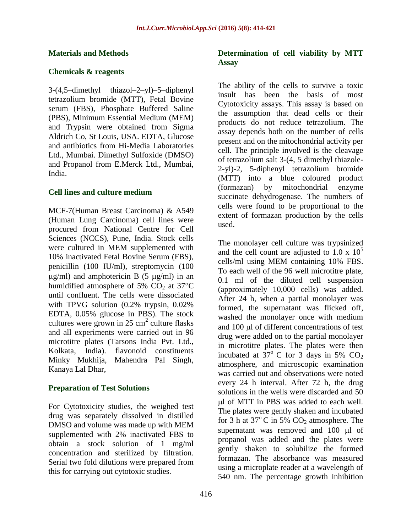#### **Materials and Methods**

#### **Chemicals & reagents**

3-(4,5–dimethyl thiazol–2–yl)–5–diphenyl tetrazolium bromide (MTT), Fetal Bovine serum (FBS), Phosphate Buffered Saline (PBS), Minimum Essential Medium (MEM) and Trypsin were obtained from Sigma Aldrich Co, St Louis, USA. EDTA, Glucose and antibiotics from Hi-Media Laboratories Ltd., Mumbai. Dimethyl Sulfoxide (DMSO) and Propanol from E.Merck Ltd., Mumbai, India.

#### **Cell lines and culture medium**

MCF-7(Human Breast Carcinoma) & A549 (Human Lung Carcinoma) cell lines were procured from National Centre for Cell Sciences (NCCS), Pune, India. Stock cells were cultured in MEM supplemented with 10% inactivated Fetal Bovine Serum (FBS), penicillin (100 IU/ml), streptomycin (100  $\mu$ g/ml) and amphotericin B (5  $\mu$ g/ml) in an humidified atmosphere of 5%  $CO<sub>2</sub>$  at 37°C until confluent. The cells were dissociated with TPVG solution (0.2% trypsin, 0.02% EDTA, 0.05% glucose in PBS). The stock cultures were grown in  $25 \text{ cm}^2$  culture flasks and all experiments were carried out in 96 microtitre plates (Tarsons India Pvt. Ltd., Kolkata, India). flavonoid constituents Minky Mukhija, Mahendra Pal Singh, Kanaya Lal Dhar,

#### **Preparation of Test Solutions**

For Cytotoxicity studies, the weighed test drug was separately dissolved in distilled DMSO and volume was made up with MEM supplemented with 2% inactivated FBS to obtain a stock solution of 1 mg/ml concentration and sterilized by filtration. Serial two fold dilutions were prepared from this for carrying out cytotoxic studies.

#### **Determination of cell viability by MTT Assay**

The ability of the cells to survive a toxic insult has been the basis of most Cytotoxicity assays. This assay is based on the assumption that dead cells or their products do not reduce tetrazolium. The assay depends both on the number of cells present and on the mitochondrial activity per cell. The principle involved is the cleavage of tetrazolium salt 3-(4, 5 dimethyl thiazole-2-yl)-2, 5-diphenyl tetrazolium bromide (MTT) into a blue coloured product (formazan) by mitochondrial enzyme succinate dehydrogenase. The numbers of cells were found to be proportional to the extent of formazan production by the cells used.

The monolayer cell culture was trypsinized and the cell count are adjusted to 1.0 x  $10<sup>5</sup>$ cells/ml using MEM containing 10% FBS. To each well of the 96 well microtitre plate, 0.1 ml of the diluted cell suspension (approximately 10,000 cells) was added. After 24 h, when a partial monolayer was formed, the supernatant was flicked off, washed the monolayer once with medium and 100 µl of different concentrations of test drug were added on to the partial monolayer in microtitre plates. The plates were then incubated at  $37^\circ$  C for 3 days in 5% CO<sub>2</sub> atmosphere, and microscopic examination was carried out and observations were noted every 24 h interval. After 72 h, the drug solutions in the wells were discarded and 50 l of MTT in PBS was added to each well. The plates were gently shaken and incubated for  $3$  h at  $37^{\circ}$ C in  $5\%$  CO<sub>2</sub> atmosphere. The supernatant was removed and 100 µl of propanol was added and the plates were gently shaken to solubilize the formed formazan. The absorbance was measured using a microplate reader at a wavelength of 540 nm. The percentage growth inhibition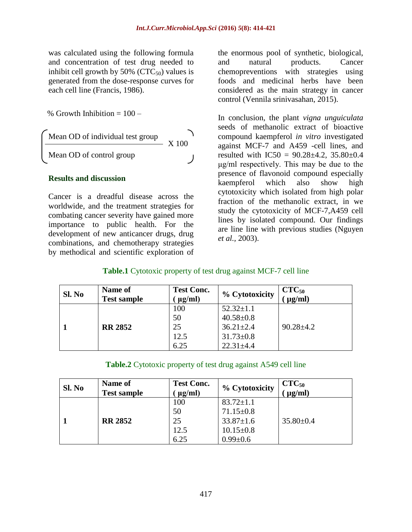was calculated using the following formula and concentration of test drug needed to inhibit cell growth by  $50\%$  (CTC<sub>50</sub>) values is generated from the dose-response curves for each cell line (Francis, 1986).

% Growth Inhibition  $= 100 -$ 

Mean OD of individual test group  
\nMean OD of control group 
$$
\boxed{\qquad \qquad }
$$
 X 100

#### **Results and discussion**

Cancer is a dreadful disease across the worldwide, and the treatment strategies for combating cancer severity have gained more importance to public health. For the development of new anticancer drugs, drug combinations, and chemotherapy strategies by methodical and scientific exploration of

the enormous pool of synthetic, biological, and natural products. Cancer chemopreventions with strategies using foods and medicinal herbs have been considered as the main strategy in cancer control (Vennila srinivasahan, 2015).

In conclusion, the plant *vigna unguiculata* seeds of methanolic extract of bioactive compound kaempferol *in vitro* investigated against MCF-7 and A459 -cell lines, and resulted with  $IC50 = 90.28 \pm 4.2$ ,  $35.80 \pm 0.4$ μg/ml respectively. This may be due to the presence of flavonoid compound especially kaempferol which also show high cytotoxicity which isolated from high polar fraction of the methanolic extract, in we study the cytotoxicity of MCF-7,A459 cell lines by isolated compound. Our findings are line line with previous studies [\(Nguyen](http://www.ncbi.nlm.nih.gov/pubmed/?term=Nguyen%20TT%5BAuthor%5D&cauthor=true&cauthor_uid=12942547)  *et al.,* 2003).

### **Table.1** Cytotoxic property of test drug against MCF-7 cell line

| Sl. No | Name of<br><b>Test sample</b> | <b>Test Conc.</b><br>$\mu$ g/ml) | % Cytotoxicity  | $CTC_{50}$<br>$\mu$ g/ml) |
|--------|-------------------------------|----------------------------------|-----------------|---------------------------|
|        |                               | 100                              | $52.32 \pm 1.1$ |                           |
|        |                               | 50                               | $40.58 \pm 0.8$ |                           |
|        | <b>RR 2852</b>                | 25                               | $36.21 \pm 2.4$ | $90.28 \pm 4.2$           |
|        |                               | 12.5                             | $31.73 \pm 0.8$ |                           |
|        |                               | 6.25                             | $22.31 \pm 4.4$ |                           |

**Table.2** Cytotoxic property of test drug against A549 cell line

| Sl. No | Name of<br><b>Test sample</b> | <b>Test Conc.</b><br>$\mu$ g/ml) | % Cytotoxicity  | $CTC_{50}$<br>$\mu$ g/ml) |
|--------|-------------------------------|----------------------------------|-----------------|---------------------------|
|        |                               | 100                              | $83.72 \pm 1.1$ |                           |
|        |                               | 50                               | $71.15 \pm 0.8$ |                           |
|        | <b>RR 2852</b>                | 25                               | $33.87 \pm 1.6$ | $35.80 \pm 0.4$           |
|        |                               | 12.5                             | $10.15 \pm 0.8$ |                           |
|        |                               | 6.25                             | $0.99 \pm 0.6$  |                           |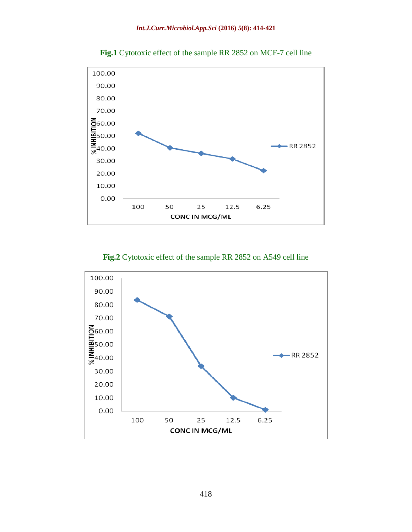

**Fig.1** Cytotoxic effect of the sample RR 2852 on MCF-7 cell line

**Fig.2** Cytotoxic effect of the sample RR 2852 on A549 cell line

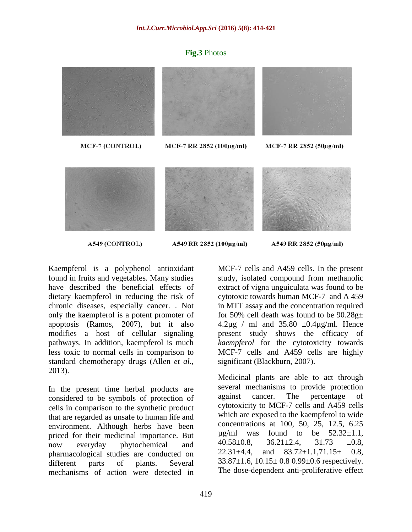#### **Fig.3** Photos





#### A549 (CONTROL)

A549 RR 2852 (100μg/ml)

A549 RR 2852 (50µg/ml)

Kaempferol is a polyphenol antioxidant found in fruits and vegetables. Many studies have described the beneficial effects of dietary kaempferol in reducing the risk of chronic diseases, especially cancer. . Not only the kaempferol is a potent promoter of apoptosis [\(Ramos, 2007\)](http://www.ncbi.nlm.nih.gov/pmc/articles/PMC3601579/#R62), but it also modifies a host of cellular signaling pathways. In addition, kaempferol is much less toxic to normal cells in comparison to standard chemotherapy drugs (Allen *et al.,* 2013).

In the present time herbal products are considered to be symbols of protection of cells in comparison to the synthetic product that are regarded as unsafe to human life and environment. Although herbs have been priced for their medicinal importance. But now everyday phytochemical and pharmacological studies are conducted on different parts of plants. Several mechanisms of action were detected in

MCF-7 cells and A459 cells. In the present study, isolated compound from methanolic extract of vigna unguiculata was found to be cytotoxic towards human MCF-7 and A 459 in MTT assay and the concentration required for 50% cell death was found to be  $90.28g<sub>\pm</sub>$  $4.2\mu$ g / ml and  $35.80 \pm 0.4\mu$ g/ml. Hence present study shows the efficacy of *kaempferol* for the cytotoxicity towards MCF-7 cells and A459 cells are highly significant (Blackburn, 2007).

Medicinal plants are able to act through several mechanisms to provide protection against cancer. The percentage of cytotoxicity to MCF-7 cells and A459 cells which are exposed to the kaempferol to wide concentrations at 100, 50, 25, 12.5, 6.25  $\mu$ g/ml was found to be 52.32 $\pm$ 1.1,  $40.58\pm0.8$ ,  $36.21\pm2.4$ ,  $31.73$   $\pm0.8$ ,  $22.31 \pm 4.4$ , and  $83.72 \pm 1.1,71.15 \pm 0.8$ ,  $33.87\pm1.6$ ,  $10.15\pm0.8$  0.99 $\pm0.6$  respectively. The dose-dependent anti-proliferative effect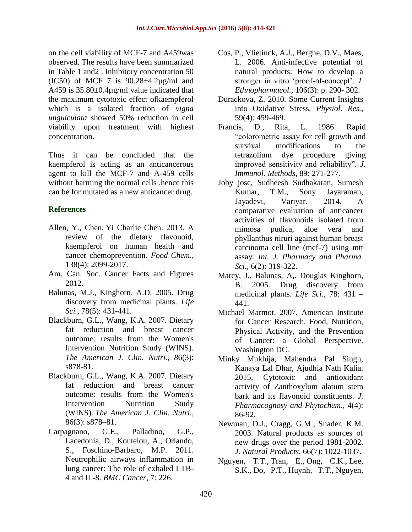on the cell viability of MCF-7 and A459was observed. The results have been summarized in Table 1 and2 . Inhibitory concentration 50 (IC50) of MCF 7 is  $90.28 \pm 4.2 \mu$ g/ml and A459 is 35.80±0.4µg/ml value indicated that the maximum cytotoxic effect ofkaempferol which is a isolated fraction of *vigna unguiculata* showed 50% reduction in cell viability upon treatment with highest concentration.

Thus it can be concluded that the kaempferol is acting as an anticancerous agent to kill the MCF-7 and A-459 cells without harming the normal cells .hence this can be for mutated as a new anticancer drug.

## **References**

- Allen, Y., [Chen,](http://www.ncbi.nlm.nih.gov/pubmed/?term=Chen%20AY%5Bauth%5D) [Yi Charlie Chen.](http://www.ncbi.nlm.nih.gov/pubmed/?term=Chen%20YC%5Bauth%5D) 2013. A review of the dietary flavonoid, kaempferol on human health and cancer chemoprevention. *Food Chem.,* 138(4): 2099-2017.
- Am. Can. Soc. Cancer Facts and Figures 2012.
- Balunas, M.J., Kinghorn, A.D. 2005. Drug discovery from medicinal plants. *Life Sci.,* 78(5): 431-441.
- Blackburn, G.L., Wang, K.A. 2007. Dietary fat reduction and breast cancer outcome: results from the Women's Intervention Nutrition Study (WINS). *The American J. Clin. Nutri., 8*6(3): s878-81.
- Blackburn, G.L., Wang, K.A. 2007. Dietary fat reduction and breast cancer outcome: results from the Women's Intervention Nutrition Study (WINS). *The American J. Clin. Nutri.,*  86(3): s878–81.
- Carpagnano, G.E., Palladino, G.P., Lacedonia, D., Koutelou, A., Orlando, S., Foschino-Barbaro, M.P. 2011. Neutrophilic airways inflammation in lung cancer: The role of exhaled LTB-4 and IL-8. *BMC Cancer*, 7: 226.
- Cos, P., Vlietinck, A.J., Berghe, D.V., Maes, L. 2006. Anti-infective potential of natural products: How to develop a stronger in vitro 'proof-of-concept'. *J. Ethnopharmacol.,* 106(3): p. 290- 302.
- Durackova, Z. 2010. Some Current Insights into Oxidative Stress. *Physiol. Res.,*  59(4): 459-469.
- Francis, D., Rita, L. 1986. Rapid "colorometric assay for cell growth and survival modifications to the tetrazolium dye procedure giving improved sensitivity and reliability". *J. Immunol. Methods,* 89: 271-277.
- Joby jose, Sudheesh Sudhakaran, Sumesh Kumar, T.M., Sony Jayaraman, Jayadevi, Variyar. 2014. A comparative evaluation of anticancer activities of flavonoids isolated from mimosa pudica, aloe vera and phyllanthus niruri against human breast carcinoma cell line (mcf-7) using mtt assay*. Int. J. Pharmacy and Pharma. Sci.,* 6(2): 319-322.
- Marcy, J., Balunas, A,. Douglas Kinghorn, B. 2005. Drug discovery from medicinal plants. *Life Sci.,* 78: 431 – 441.
- Michael Marmot. 2007. American Institute for Cancer Research. Food, Nutrition, Physical Activity, and the Prevention of Cancer: a Global Perspective. Washington DC.
- Minky Mukhija, Mahendra Pal Singh, Kanaya Lal Dhar, Ajudhia Nath Kalia. 2015. Cytotoxic and antioxidant activity of Zanthoxylum alatum stem bark and its flavonoid constituents. *J. Pharmacognosy and Phytochem.,* 4(4): 86-92.
- Newman, D.J., Cragg, G.M., Snader, K.M. 2003. Natural products as sources of new drugs over the period 1981-2002. *J. Natural Products,* 66(7): 1022-1037.
- [Nguyen, T.T.](http://www.ncbi.nlm.nih.gov/pubmed/?term=Nguyen%20TT%5BAuthor%5D&cauthor=true&cauthor_uid=12942547), [Tran,](http://www.ncbi.nlm.nih.gov/pubmed/?term=Tran%20E%5BAuthor%5D&cauthor=true&cauthor_uid=12942547) E., [Ong, C.K.](http://www.ncbi.nlm.nih.gov/pubmed/?term=Ong%20CK%5BAuthor%5D&cauthor=true&cauthor_uid=12942547), [Lee,](http://www.ncbi.nlm.nih.gov/pubmed/?term=Lee%20SK%5BAuthor%5D&cauthor=true&cauthor_uid=12942547) [S.K.](http://www.ncbi.nlm.nih.gov/pubmed/?term=Lee%20SK%5BAuthor%5D&cauthor=true&cauthor_uid=12942547), Do, [P.T.](http://www.ncbi.nlm.nih.gov/pubmed/?term=Do%20PT%5BAuthor%5D&cauthor=true&cauthor_uid=12942547), [Huynh,](http://www.ncbi.nlm.nih.gov/pubmed/?term=Huynh%20TT%5BAuthor%5D&cauthor=true&cauthor_uid=12942547) T.T., [Nguyen,](http://www.ncbi.nlm.nih.gov/pubmed/?term=Nguyen%20TH%5BAuthor%5D&cauthor=true&cauthor_uid=12942547)